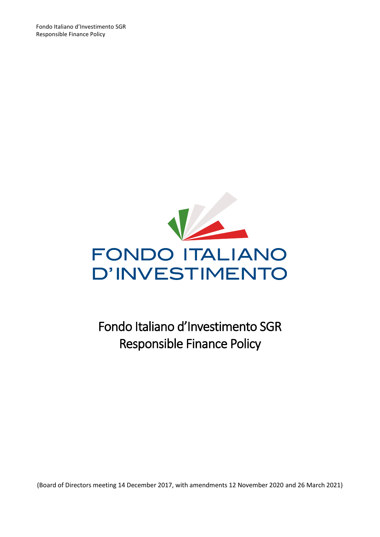Fondo Italiano d'Investimento SGR Responsible Finance Policy



Fondo Italiano d'Investimento SGR Responsible Finance Policy

(Board of Directors meeting 14 December 2017, with amendments 12 November 2020 and 26 March 2021)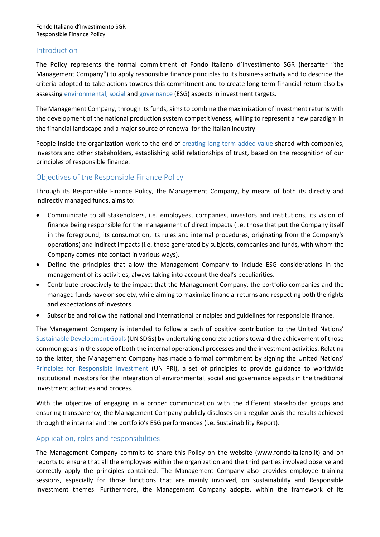### Introduction

The Policy represents the formal commitment of Fondo Italiano d'Investimento SGR (hereafter "the Management Company") to apply responsible finance principles to its business activity and to describe the criteria adopted to take actions towards this commitment and to create long-term financial return also by assessing environmental, social and governance (ESG) aspects in investment targets.

The Management Company, through its funds, aims to combine the maximization of investment returns with the development of the national production system competitiveness, willing to represent a new paradigm in the financial landscape and a major source of renewal for the Italian industry.

People inside the organization work to the end of creating long-term added value shared with companies, investors and other stakeholders, establishing solid relationships of trust, based on the recognition of our principles of responsible finance.

## Objectives of the Responsible Finance Policy

Through its Responsible Finance Policy, the Management Company, by means of both its directly and indirectly managed funds, aims to:

- Communicate to all stakeholders, i.e. employees, companies, investors and institutions, its vision of finance being responsible for the management of direct impacts (i.e. those that put the Company itself in the foreground, its consumption, its rules and internal procedures, originating from the Company's operations) and indirect impacts (i.e. those generated by subjects, companies and funds, with whom the Company comes into contact in various ways).
- Define the principles that allow the Management Company to include ESG considerations in the management of its activities, always taking into account the deal's peculiarities.
- Contribute proactively to the impact that the Management Company, the portfolio companies and the managed funds have on society, while aiming to maximize financial returns and respecting both the rights and expectations of investors.
- Subscribe and follow the national and international principles and guidelines for responsible finance.

The Management Company is intended to follow a path of positive contribution to the United Nations' Sustainable Development Goals(UN SDGs) by undertaking concrete actionstoward the achievement of those common goals in the scope of both the internal operational processes and the investment activities. Relating to the latter, the Management Company has made a formal commitment by signing the United Nations' Principles for Responsible Investment (UN PRI), a set of principles to provide guidance to worldwide institutional investors for the integration of environmental, social and governance aspects in the traditional investment activities and process.

With the objective of engaging in a proper communication with the different stakeholder groups and ensuring transparency, the Management Company publicly discloses on a regular basis the results achieved through the internal and the portfolio's ESG performances (i.e. Sustainability Report).

### Application, roles and responsibilities

The Management Company commits to share this Policy on the website (www.fondoitaliano.it) and on reports to ensure that all the employees within the organization and the third parties involved observe and correctly apply the principles contained. The Management Company also provides employee training sessions, especially for those functions that are mainly involved, on sustainability and Responsible Investment themes. Furthermore, the Management Company adopts, within the framework of its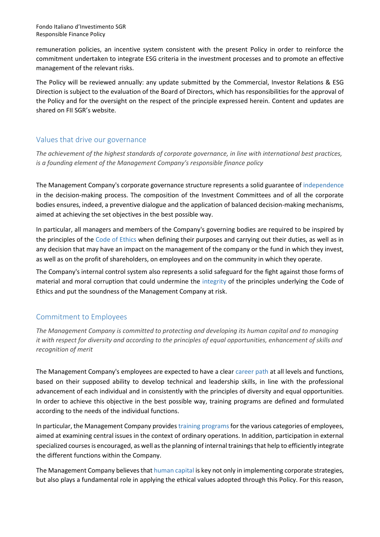remuneration policies, an incentive system consistent with the present Policy in order to reinforce the commitment undertaken to integrate ESG criteria in the investment processes and to promote an effective management of the relevant risks.

The Policy will be reviewed annually: any update submitted by the Commercial, Investor Relations & ESG Direction is subject to the evaluation of the Board of Directors, which has responsibilities for the approval of the Policy and for the oversight on the respect of the principle expressed herein. Content and updates are shared on FII SGR's website.

# Values that drive our governance

*The achievement of the highest standards of corporate governance, in line with international best practices, is a founding element of the Management Company's responsible finance policy*

The Management Company's corporate governance structure represents a solid guarantee of independence in the decision-making process. The composition of the Investment Committees and of all the corporate bodies ensures, indeed, a preventive dialogue and the application of balanced decision-making mechanisms, aimed at achieving the set objectives in the best possible way.

In particular, all managers and members of the Company's governing bodies are required to be inspired by the principles of the Code of Ethics when defining their purposes and carrying out their duties, as well as in any decision that may have an impact on the management of the company or the fund in which they invest, as well as on the profit of shareholders, on employees and on the community in which they operate.

The Company's internal control system also represents a solid safeguard for the fight against those forms of material and moral corruption that could undermine the integrity of the principles underlying the Code of Ethics and put the soundness of the Management Company at risk.

# Commitment to Employees

*The Management Company is committed to protecting and developing its human capital and to managing it with respect for diversity and according to the principles of equal opportunities, enhancement of skills and recognition of merit*

The Management Company's employees are expected to have a clear career path at all levels and functions, based on their supposed ability to develop technical and leadership skills, in line with the professional advancement of each individual and in consistently with the principles of diversity and equal opportunities. In order to achieve this objective in the best possible way, training programs are defined and formulated according to the needs of the individual functions.

In particular, the Management Company provides training programsfor the various categories of employees, aimed at examining central issues in the context of ordinary operations. In addition, participation in external specialized courses is encouraged, as well asthe planning of internal trainings that help to efficiently integrate the different functions within the Company.

The Management Company believes that human capital is key not only in implementing corporate strategies, but also plays a fundamental role in applying the ethical values adopted through this Policy. For this reason,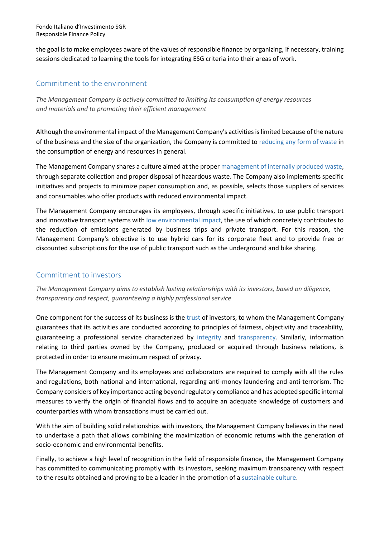the goal is to make employees aware of the values of responsible finance by organizing, if necessary, training sessions dedicated to learning the tools for integrating ESG criteria into their areas of work.

# Commitment to the environment

*The Management Company is actively committed to limiting its consumption of energy resources and materials and to promoting their efficient management*

Although the environmental impact of the Management Company's activities is limited because of the nature of the business and the size of the organization, the Company is committed to reducing any form of waste in the consumption of energy and resources in general.

The Management Company shares a culture aimed at the proper management of internally produced waste, through separate collection and proper disposal of hazardous waste. The Company also implements specific initiatives and projects to minimize paper consumption and, as possible, selects those suppliers of services and consumables who offer products with reduced environmental impact.

The Management Company encourages its employees, through specific initiatives, to use public transport and innovative transport systems with low environmental impact, the use of which concretely contributes to the reduction of emissions generated by business trips and private transport. For this reason, the Management Company's objective is to use hybrid cars for its corporate fleet and to provide free or discounted subscriptions for the use of public transport such as the underground and bike sharing.

## Commitment to investors

*The Management Company aims to establish lasting relationships with its investors, based on diligence, transparency and respect, guaranteeing a highly professional service*

One component for the success of its business is the trust of investors, to whom the Management Company guarantees that its activities are conducted according to principles of fairness, objectivity and traceability, guaranteeing a professional service characterized by integrity and transparency. Similarly, information relating to third parties owned by the Company, produced or acquired through business relations, is protected in order to ensure maximum respect of privacy.

The Management Company and its employees and collaborators are required to comply with all the rules and regulations, both national and international, regarding anti-money laundering and anti-terrorism. The Company considers of key importance acting beyond regulatory compliance and has adopted specific internal measures to verify the origin of financial flows and to acquire an adequate knowledge of customers and counterparties with whom transactions must be carried out.

With the aim of building solid relationships with investors, the Management Company believes in the need to undertake a path that allows combining the maximization of economic returns with the generation of socio-economic and environmental benefits.

Finally, to achieve a high level of recognition in the field of responsible finance, the Management Company has committed to communicating promptly with its investors, seeking maximum transparency with respect to the results obtained and proving to be a leader in the promotion of a sustainable culture.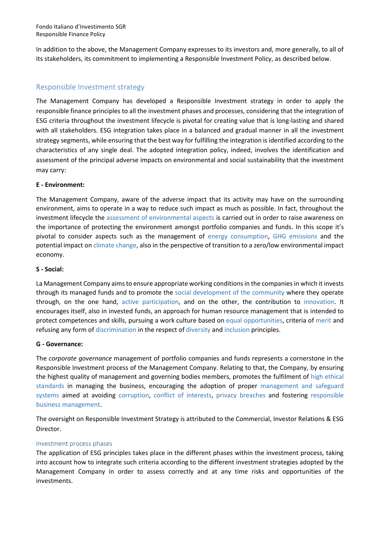In addition to the above, the Management Company expresses to its investors and, more generally, to all of its stakeholders, its commitment to implementing a Responsible Investment Policy, as described below.

# Responsible Investment strategy

The Management Company has developed a Responsible Investment strategy in order to apply the responsible finance principles to all the investment phases and processes, considering that the integration of ESG criteria throughout the investment lifecycle is pivotal for creating value that is long-lasting and shared with all stakeholders. ESG integration takes place in a balanced and gradual manner in all the investment strategy segments, while ensuring that the best way for fulfilling the integration is identified according to the characteristics of any single deal. The adopted integration policy, indeed, involves the identification and assessment of the principal adverse impacts on environmental and social sustainability that the investment may carry:

### **E - Environment:**

The Management Company, aware of the adverse impact that its activity may have on the surrounding environment, aims to operate in a way to reduce such impact as much as possible. In fact, throughout the investment lifecycle the assessment of environmental aspects is carried out in order to raise awareness on the importance of protecting the environment amongst portfolio companies and funds. In this scope it's pivotal to consider aspects such as the management of energy consumption, GHG emissions and the potential impact on climate change, also in the perspective of transition to a zero/low environmental impact economy.

#### **S - Social:**

La Management Company aims to ensure appropriate working conditions in the companies in which it invests through its managed funds and to promote the social development of the community where they operate through, on the one hand, active participation, and on the other, the contribution to innovation. It encourages itself, also in invested funds, an approach for human resource management that is intended to protect competences and skills, pursuing a work culture based on equal opportunities, criteria of merit and refusing any form of discrimination in the respect of diversity and inclusion principles.

#### **G - Governance:**

The *corporate governance* management of portfolio companies and funds represents a cornerstone in the Responsible Investment process of the Management Company. Relating to that, the Company, by ensuring the highest quality of management and governing bodies members, promotes the fulfilment of high ethical standards in managing the business, encouraging the adoption of proper management and safeguard systems aimed at avoiding corruption, conflict of interests, privacy breaches and fostering responsible business management.

The oversight on Responsible Investment Strategy is attributed to the Commercial, Investor Relations & ESG Director.

#### Investment process phases

The application of ESG principles takes place in the different phases within the investment process, taking into account how to integrate such criteria according to the different investment strategies adopted by the Management Company in order to assess correctly and at any time risks and opportunities of the investments.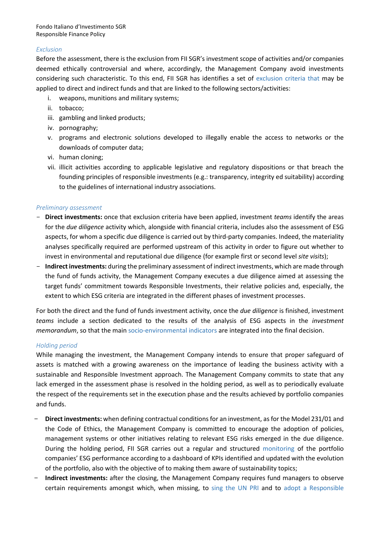#### *Exclusion*

Before the assessment, there is the exclusion from FII SGR's investment scope of activities and/or companies deemed ethically controversial and where, accordingly, the Management Company avoid investments considering such characteristic. To this end, FII SGR has identifies a set of exclusion criteria that may be applied to direct and indirect funds and that are linked to the following sectors/activities:

- i. weapons, munitions and military systems;
- ii. tobacco;
- iii. gambling and linked products;
- iv. pornography;
- v. programs and electronic solutions developed to illegally enable the access to networks or the downloads of computer data;
- vi. human cloning;
- vii. illicit activities according to applicable legislative and regulatory dispositions or that breach the founding principles of responsible investments (e.g.: transparency, integrity ed suitability) according to the guidelines of international industry associations.

#### *Preliminary assessment*

- **Direct investments:** once that exclusion criteria have been applied, investment *teams* identify the areas for the *due diligence* activity which, alongside with financial criteria, includes also the assessment of ESG aspects, for whom a specific due diligence is carried out by third-party companies. Indeed, the materiality analyses specifically required are performed upstream of this activity in order to figure out whether to invest in environmental and reputational due diligence (for example first or second level *site visits*);
- **Indirect investments:** during the preliminary assessment of indirect investments, which are made through the fund of funds activity, the Management Company executes a due diligence aimed at assessing the target funds' commitment towards Responsible Investments, their relative policies and, especially, the extent to which ESG criteria are integrated in the different phases of investment processes.

For both the direct and the fund of funds investment activity, once the *due diligence* is finished, investment *teams* include a section dedicated to the results of the analysis of ESG aspects in the *investment memorandum*, so that the main socio-environmental indicators are integrated into the final decision.

### *Holding period*

While managing the investment, the Management Company intends to ensure that proper safeguard of assets is matched with a growing awareness on the importance of leading the business activity with a sustainable and Responsible Investment approach. The Management Company commits to state that any lack emerged in the assessment phase is resolved in the holding period, as well as to periodically evaluate the respect of the requirements set in the execution phase and the results achieved by portfolio companies and funds.

- **Direct investments:** when defining contractual conditions for an investment, as for the Model 231/01 and the Code of Ethics, the Management Company is committed to encourage the adoption of policies, management systems or other initiatives relating to relevant ESG risks emerged in the due diligence. During the holding period, FII SGR carries out a regular and structured monitoring of the portfolio companies' ESG performance according to a dashboard of KPIs identified and updated with the evolution of the portfolio, also with the objective of to making them aware of sustainability topics;
- **Indirect investments:** after the closing, the Management Company requires fund managers to observe certain requirements amongst which, when missing, to sing the UN PRI and to adopt a Responsible